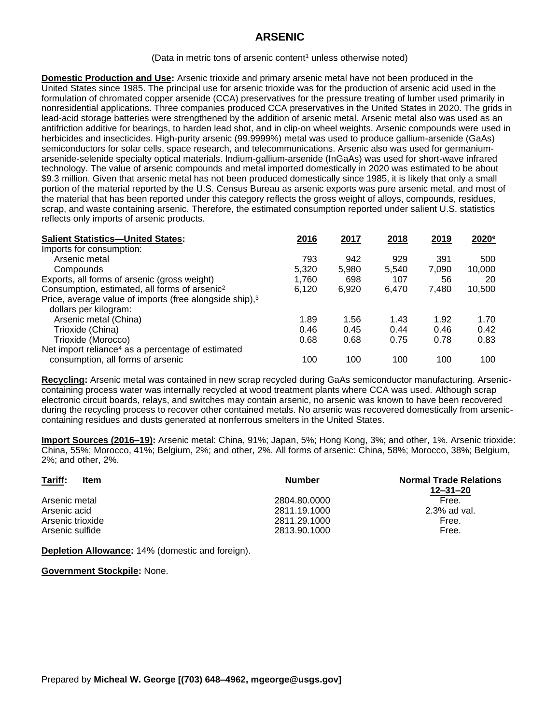## **ARSENIC**

(Data in metric tons of arsenic content<sup>1</sup> unless otherwise noted)

**Domestic Production and Use:** Arsenic trioxide and primary arsenic metal have not been produced in the United States since 1985. The principal use for arsenic trioxide was for the production of arsenic acid used in the formulation of chromated copper arsenide (CCA) preservatives for the pressure treating of lumber used primarily in nonresidential applications. Three companies produced CCA preservatives in the United States in 2020. The grids in lead-acid storage batteries were strengthened by the addition of arsenic metal. Arsenic metal also was used as an antifriction additive for bearings, to harden lead shot, and in clip-on wheel weights. Arsenic compounds were used in herbicides and insecticides. High-purity arsenic (99.9999%) metal was used to produce gallium-arsenide (GaAs) semiconductors for solar cells, space research, and telecommunications. Arsenic also was used for germaniumarsenide-selenide specialty optical materials. Indium-gallium-arsenide (InGaAs) was used for short-wave infrared technology. The value of arsenic compounds and metal imported domestically in 2020 was estimated to be about \$9.3 million. Given that arsenic metal has not been produced domestically since 1985, it is likely that only a small portion of the material reported by the U.S. Census Bureau as arsenic exports was pure arsenic metal, and most of the material that has been reported under this category reflects the gross weight of alloys, compounds, residues, scrap, and waste containing arsenic. Therefore, the estimated consumption reported under salient U.S. statistics reflects only imports of arsenic products.

| <b>Salient Statistics-United States:</b>                            | 2016  | 2017  | 2018  | 2019  | 2020 <sup>e</sup> |
|---------------------------------------------------------------------|-------|-------|-------|-------|-------------------|
| Imports for consumption:                                            |       |       |       |       |                   |
| Arsenic metal                                                       | 793   | 942   | 929   | 391   | 500               |
| Compounds                                                           | 5,320 | 5,980 | 5,540 | 7,090 | 10,000            |
| Exports, all forms of arsenic (gross weight)                        | 1,760 | 698   | 107   | 56    | 20                |
| Consumption, estimated, all forms of arsenic <sup>2</sup>           | 6,120 | 6,920 | 6.470 | 7,480 | 10,500            |
| Price, average value of imports (free alongside ship), <sup>3</sup> |       |       |       |       |                   |
| dollars per kilogram:                                               |       |       |       |       |                   |
| Arsenic metal (China)                                               | 1.89  | 1.56  | 1.43  | 1.92  | 1.70              |
| Trioxide (China)                                                    | 0.46  | 0.45  | 0.44  | 0.46  | 0.42              |
| Trioxide (Morocco)                                                  | 0.68  | 0.68  | 0.75  | 0.78  | 0.83              |
| Net import reliance <sup>4</sup> as a percentage of estimated       |       |       |       |       |                   |
| consumption, all forms of arsenic                                   | 100   | 100   | 100   | 100   | 100               |

**Recycling:** Arsenic metal was contained in new scrap recycled during GaAs semiconductor manufacturing. Arseniccontaining process water was internally recycled at wood treatment plants where CCA was used. Although scrap electronic circuit boards, relays, and switches may contain arsenic, no arsenic was known to have been recovered during the recycling process to recover other contained metals. No arsenic was recovered domestically from arseniccontaining residues and dusts generated at nonferrous smelters in the United States.

**Import Sources (2016–19):** Arsenic metal: China, 91%; Japan, 5%; Hong Kong, 3%; and other, 1%. Arsenic trioxide: China, 55%; Morocco, 41%; Belgium, 2%; and other, 2%. All forms of arsenic: China, 58%; Morocco, 38%; Belgium, 2%; and other, 2%.

| Tariff:<br>Item  | <b>Number</b> | <b>Normal Trade Relations</b><br>$12 - 31 - 20$ |
|------------------|---------------|-------------------------------------------------|
| Arsenic metal    | 2804.80.0000  | Free.                                           |
| Arsenic acid     | 2811.19.1000  | $2.3\%$ ad val.                                 |
| Arsenic trioxide | 2811.29.1000  | Free.                                           |
| Arsenic sulfide  | 2813.90.1000  | Free.                                           |

**Depletion Allowance:** 14% (domestic and foreign).

**Government Stockpile:** None.